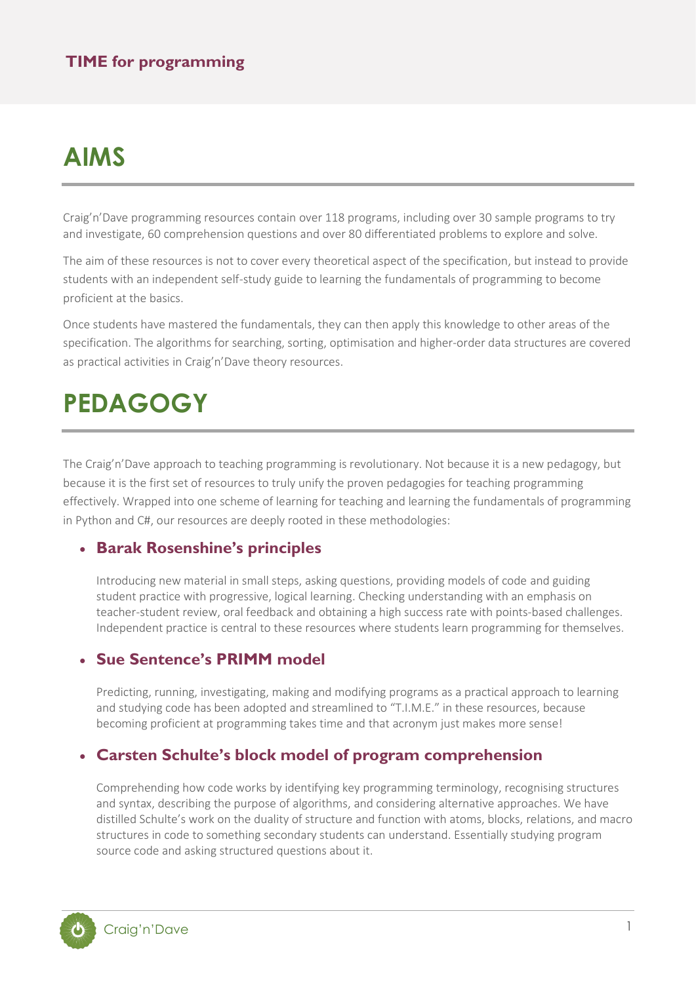## **AIMS**

Craig'n'Dave programming resources contain over 118 programs, including over 30 sample programs to try and investigate, 60 comprehension questions and over 80 differentiated problems to explore and solve.

The aim of these resources is not to cover every theoretical aspect of the specification, but instead to provide students with an independent self-study guide to learning the fundamentals of programming to become proficient at the basics.

Once students have mastered the fundamentals, they can then apply this knowledge to other areas of the specification. The algorithms for searching, sorting, optimisation and higher-order data structures are covered as practical activities in Craig'n'Dave theory resources.

## **PEDAGOGY**

The Craig'n'Dave approach to teaching programming is revolutionary. Not because it is a new pedagogy, but because it is the first set of resources to truly unify the proven pedagogies for teaching programming effectively. Wrapped into one scheme of learning for teaching and learning the fundamentals of programming in Python and C#, our resources are deeply rooted in these methodologies:

#### • **Barak Rosenshine's principles**

Introducing new material in small steps, asking questions, providing models of code and guiding student practice with progressive, logical learning. Checking understanding with an emphasis on teacher-student review, oral feedback and obtaining a high success rate with points-based challenges. Independent practice is central to these resources where students learn programming for themselves.

### • **Sue Sentence's PRIMM model**

Predicting, running, investigating, making and modifying programs as a practical approach to learning and studying code has been adopted and streamlined to "T.I.M.E." in these resources, because becoming proficient at programming takes time and that acronym just makes more sense!

### • **Carsten Schulte's block model of program comprehension**

Comprehending how code works by identifying key programming terminology, recognising structures and syntax, describing the purpose of algorithms, and considering alternative approaches. We have distilled Schulte's work on the duality of structure and function with atoms, blocks, relations, and macro structures in code to something secondary students can understand. Essentially studying program source code and asking structured questions about it.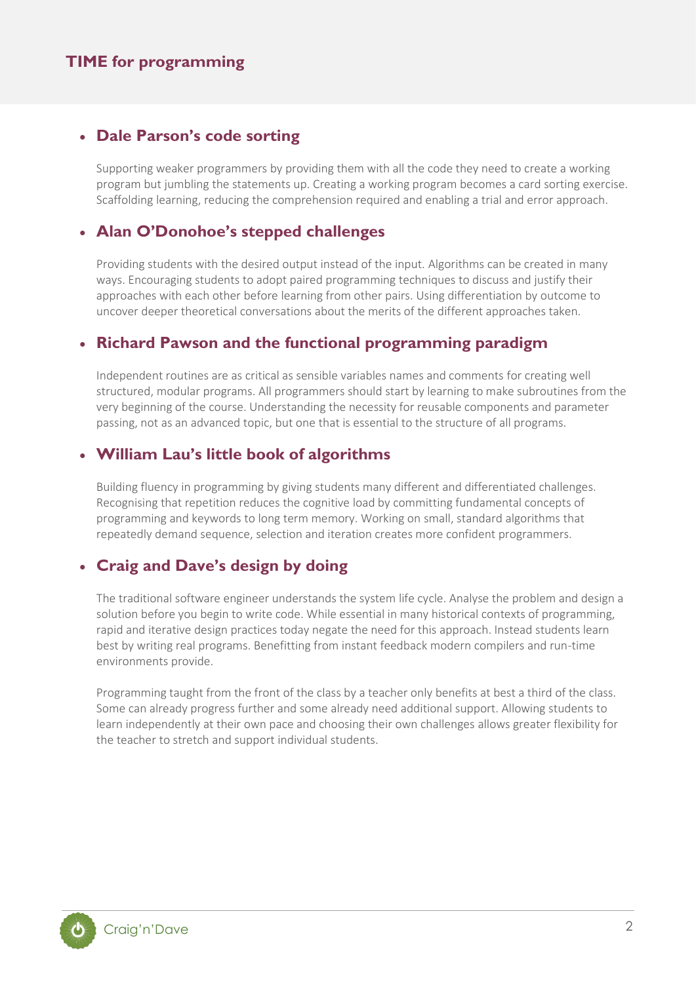### • **Dale Parson's code sorting**

Supporting weaker programmers by providing them with all the code they need to create a working program but jumbling the statements up. Creating a working program becomes a card sorting exercise. Scaffolding learning, reducing the comprehension required and enabling a trial and error approach.

### • **Alan O'Donohoe's stepped challenges**

Providing students with the desired output instead of the input. Algorithms can be created in many ways. Encouraging students to adopt paired programming techniques to discuss and justify their approaches with each other before learning from other pairs. Using differentiation by outcome to uncover deeper theoretical conversations about the merits of the different approaches taken.

### • **Richard Pawson and the functional programming paradigm**

Independent routines are as critical as sensible variables names and comments for creating well structured, modular programs. All programmers should start by learning to make subroutines from the very beginning of the course. Understanding the necessity for reusable components and parameter passing, not as an advanced topic, but one that is essential to the structure of all programs.

### • **William Lau's little book of algorithms**

Building fluency in programming by giving students many different and differentiated challenges. Recognising that repetition reduces the cognitive load by committing fundamental concepts of programming and keywords to long term memory. Working on small, standard algorithms that repeatedly demand sequence, selection and iteration creates more confident programmers.

### • **Craig and Dave's design by doing**

The traditional software engineer understands the system life cycle. Analyse the problem and design a solution before you begin to write code. While essential in many historical contexts of programming, rapid and iterative design practices today negate the need for this approach. Instead students learn best by writing real programs. Benefitting from instant feedback modern compilers and run-time environments provide.

Programming taught from the front of the class by a teacher only benefits at best a third of the class. Some can already progress further and some already need additional support. Allowing students to learn independently at their own pace and choosing their own challenges allows greater flexibility for the teacher to stretch and support individual students.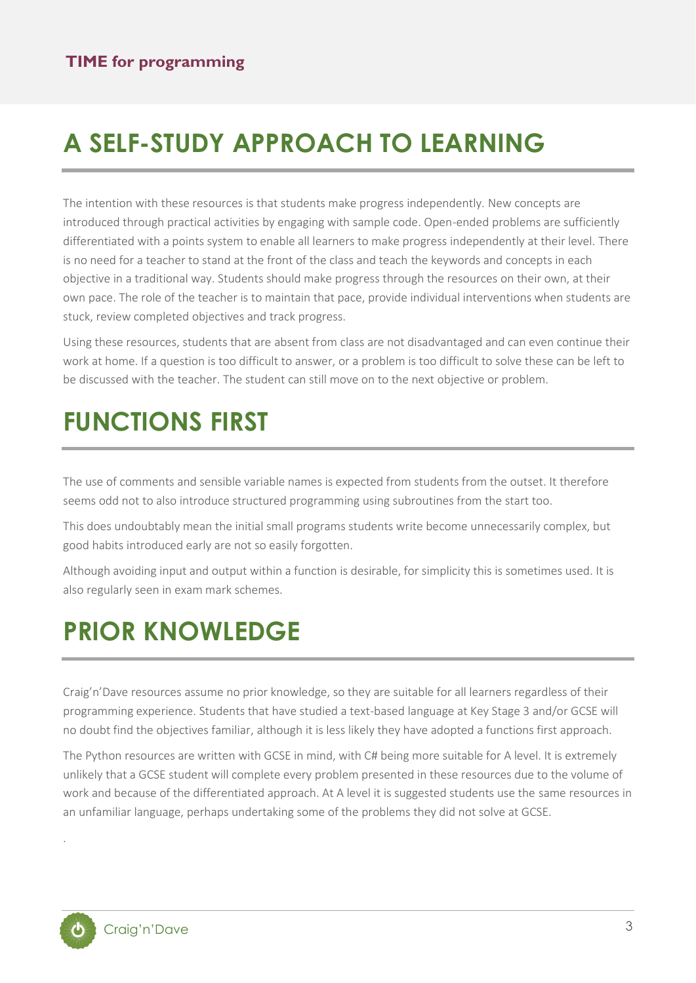# **A SELF-STUDY APPROACH TO LEARNING**

The intention with these resources is that students make progress independently. New concepts are introduced through practical activities by engaging with sample code. Open-ended problems are sufficiently differentiated with a points system to enable all learners to make progress independently at their level. There is no need for a teacher to stand at the front of the class and teach the keywords and concepts in each objective in a traditional way. Students should make progress through the resources on their own, at their own pace. The role of the teacher is to maintain that pace, provide individual interventions when students are stuck, review completed objectives and track progress.

Using these resources, students that are absent from class are not disadvantaged and can even continue their work at home. If a question is too difficult to answer, or a problem is too difficult to solve these can be left to be discussed with the teacher. The student can still move on to the next objective or problem.

# **FUNCTIONS FIRST**

The use of comments and sensible variable names is expected from students from the outset. It therefore seems odd not to also introduce structured programming using subroutines from the start too.

This does undoubtably mean the initial small programs students write become unnecessarily complex, but good habits introduced early are not so easily forgotten.

Although avoiding input and output within a function is desirable, for simplicity this is sometimes used. It is also regularly seen in exam mark schemes.

# **PRIOR KNOWLEDGE**

Craig'n'Dave resources assume no prior knowledge, so they are suitable for all learners regardless of their programming experience. Students that have studied a text-based language at Key Stage 3 and/or GCSE will no doubt find the objectives familiar, although it is less likely they have adopted a functions first approach.

The Python resources are written with GCSE in mind, with C# being more suitable for A level. It is extremely unlikely that a GCSE student will complete every problem presented in these resources due to the volume of work and because of the differentiated approach. At A level it is suggested students use the same resources in an unfamiliar language, perhaps undertaking some of the problems they did not solve at GCSE.

.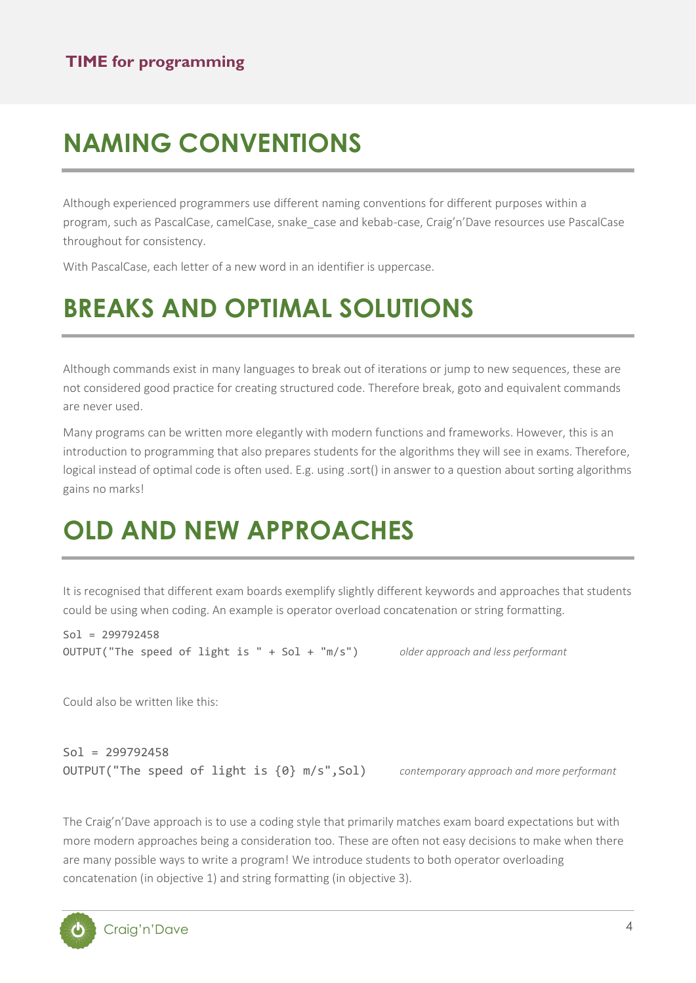# **NAMING CONVENTIONS**

Although experienced programmers use different naming conventions for different purposes within a program, such as PascalCase, camelCase, snake\_case and kebab-case, Craig'n'Dave resources use PascalCase throughout for consistency.

With PascalCase, each letter of a new word in an identifier is uppercase.

# **BREAKS AND OPTIMAL SOLUTIONS**

Although commands exist in many languages to break out of iterations or jump to new sequences, these are not considered good practice for creating structured code. Therefore break, goto and equivalent commands are never used.

Many programs can be written more elegantly with modern functions and frameworks. However, this is an introduction to programming that also prepares students for the algorithms they will see in exams. Therefore, logical instead of optimal code is often used. E.g. using .sort() in answer to a question about sorting algorithms gains no marks!

# **OLD AND NEW APPROACHES**

It is recognised that different exam boards exemplify slightly different keywords and approaches that students could be using when coding. An example is operator overload concatenation or string formatting.

 $Sol = 299792458$ OUTPUT("The speed of light is " + Sol + "m/s") *older approach and less performant*

Could also be written like this:

Sol = 299792458 OUTPUT("The speed of light is {0} m/s",Sol) *contemporary approach and more performant*

The Craig'n'Dave approach is to use a coding style that primarily matches exam board expectations but with more modern approaches being a consideration too. These are often not easy decisions to make when there are many possible ways to write a program! We introduce students to both operator overloading concatenation (in objective 1) and string formatting (in objective 3).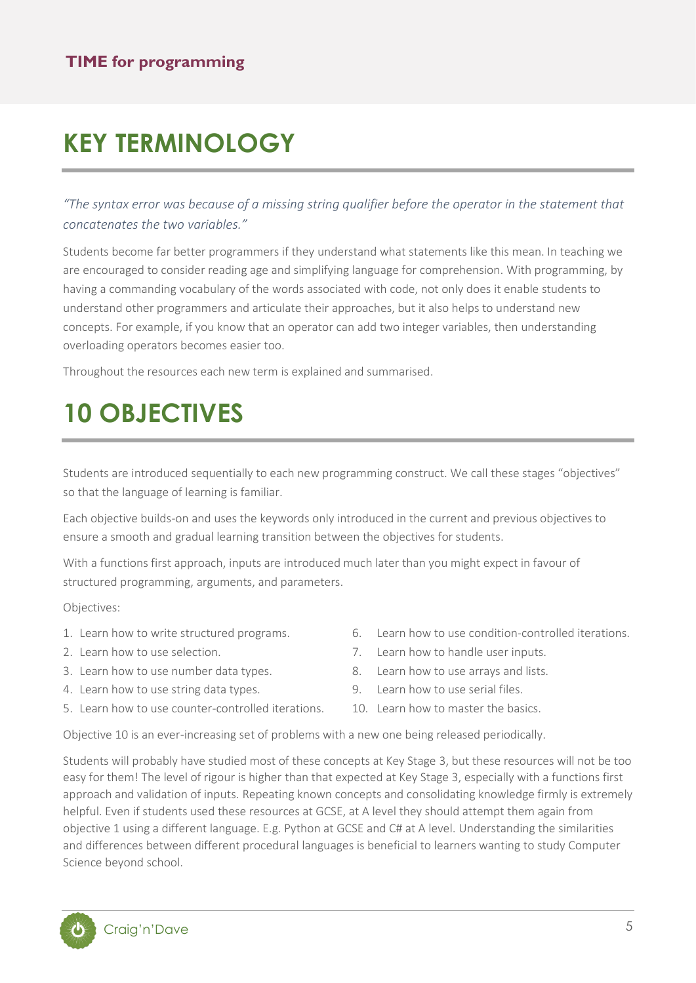# **KEY TERMINOLOGY**

*"The syntax error was because of a missing string qualifier before the operator in the statement that concatenates the two variables."*

Students become far better programmers if they understand what statements like this mean. In teaching we are encouraged to consider reading age and simplifying language for comprehension. With programming, by having a commanding vocabulary of the words associated with code, not only does it enable students to understand other programmers and articulate their approaches, but it also helps to understand new concepts. For example, if you know that an operator can add two integer variables, then understanding overloading operators becomes easier too.

Throughout the resources each new term is explained and summarised.

# **10 OBJECTIVES**

Students are introduced sequentially to each new programming construct. We call these stages "objectives" so that the language of learning is familiar.

Each objective builds-on and uses the keywords only introduced in the current and previous objectives to ensure a smooth and gradual learning transition between the objectives for students.

With a functions first approach, inputs are introduced much later than you might expect in favour of structured programming, arguments, and parameters.

Objectives:

- 1. Learn how to write structured programs.
- 2. Learn how to use selection.
- 3. Learn how to use number data types.
- 4. Learn how to use string data types.
- 5. Learn how to use counter-controlled iterations.
- 6. Learn how to use condition-controlled iterations.
- 7. Learn how to handle user inputs.
- 8. Learn how to use arrays and lists.
- 9. Learn how to use serial files.
- 10. Learn how to master the basics.

Objective 10 is an ever-increasing set of problems with a new one being released periodically.

Students will probably have studied most of these concepts at Key Stage 3, but these resources will not be too easy for them! The level of rigour is higher than that expected at Key Stage 3, especially with a functions first approach and validation of inputs. Repeating known concepts and consolidating knowledge firmly is extremely helpful. Even if students used these resources at GCSE, at A level they should attempt them again from objective 1 using a different language. E.g. Python at GCSE and C# at A level. Understanding the similarities and differences between different procedural languages is beneficial to learners wanting to study Computer Science beyond school.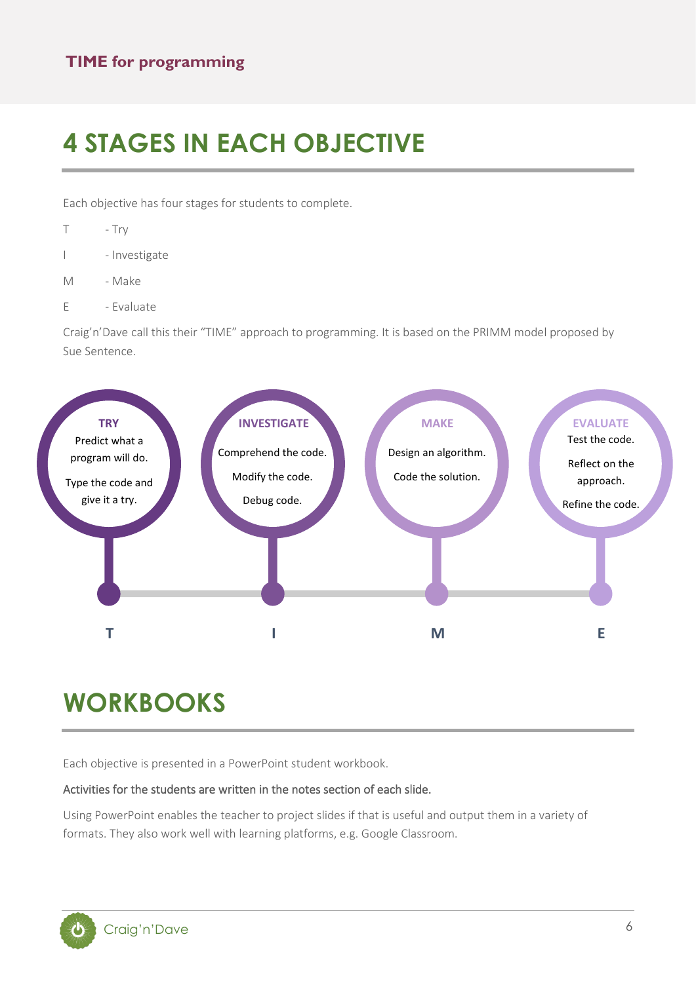## **4 STAGES IN EACH OBJECTIVE**

Each objective has four stages for students to complete.

- T Try
- I Investigate
- M Make
- E Evaluate

Craig'n'Dave call this their "TIME" approach to programming. It is based on the PRIMM model proposed by Sue Sentence.



## **WORKBOOKS**

Each objective is presented in a PowerPoint student workbook.

#### Activities for the students are written in the notes section of each slide.

Using PowerPoint enables the teacher to project slides if that is useful and output them in a variety of formats. They also work well with learning platforms, e.g. Google Classroom.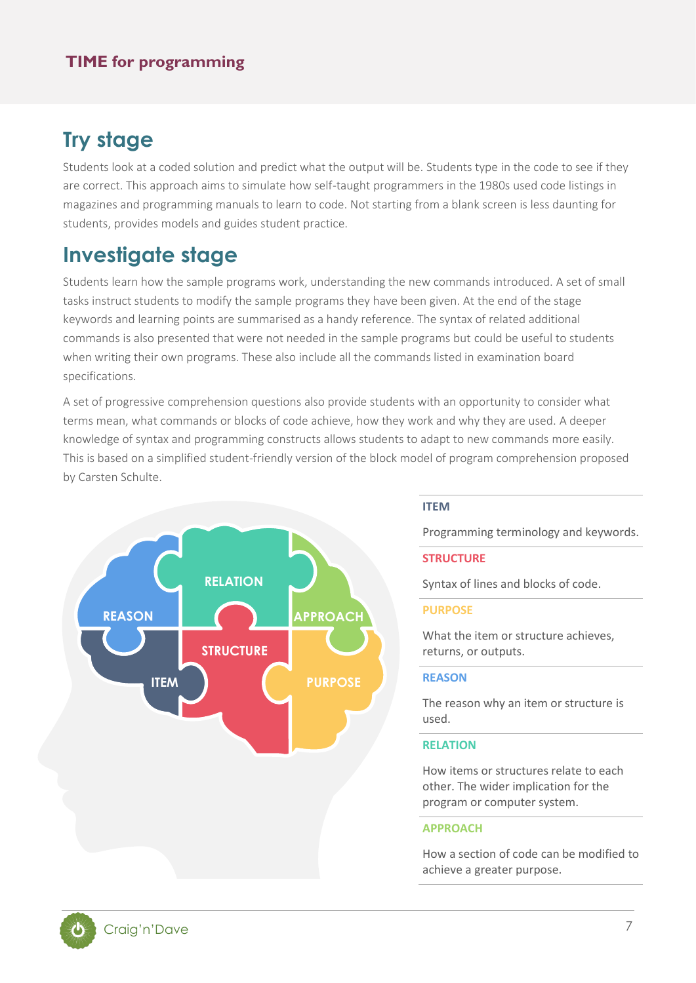## **Try stage**

Students look at a coded solution and predict what the output will be. Students type in the code to see if they are correct. This approach aims to simulate how self-taught programmers in the 1980s used code listings in magazines and programming manuals to learn to code. Not starting from a blank screen is less daunting for students, provides models and guides student practice.

## **Investigate stage**

Students learn how the sample programs work, understanding the new commands introduced. A set of small tasks instruct students to modify the sample programs they have been given. At the end of the stage keywords and learning points are summarised as a handy reference. The syntax of related additional commands is also presented that were not needed in the sample programs but could be useful to students when writing their own programs. These also include all the commands listed in examination board specifications.

A set of progressive comprehension questions also provide students with an opportunity to consider what terms mean, what commands or blocks of code achieve, how they work and why they are used. A deeper knowledge of syntax and programming constructs allows students to adapt to new commands more easily. This is based on a simplified student-friendly version of the block model of program comprehension proposed by Carsten Schulte.



#### **ITEM**

Programming terminology and keywords.

#### **STRUCTURE**

Syntax of lines and blocks of code.

#### **PURPOSE**

What the item or structure achieves. returns, or outputs.

#### **REASON**

The reason why an item or structure is used.

#### **RELATION**

How items or structures relate to each other. The wider implication for the program or computer system.

#### **APPROACH**

How a section of code can be modified to achieve a greater purpose.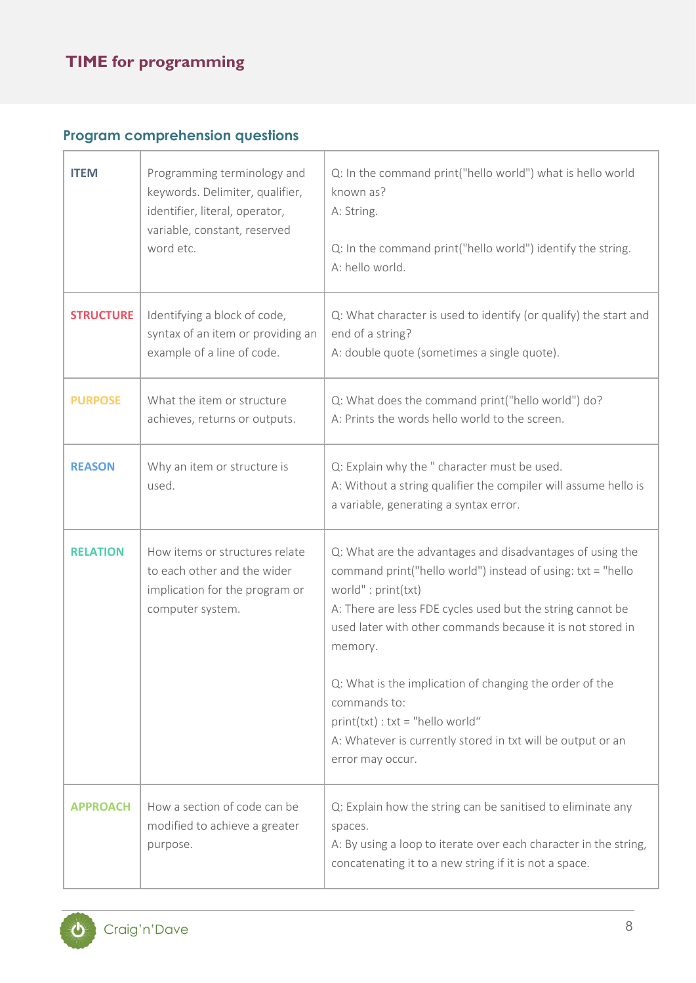### **Program comprehension questions**

| <b>ITEM</b>      | Programming terminology and<br>keywords. Delimiter, qualifier,<br>identifier, literal, operator,<br>variable, constant, reserved<br>word etc. | Q: In the command print("hello world") what is hello world<br>known as?<br>A: String.<br>Q: In the command print("hello world") identify the string.<br>A: hello world.                                                                                                                                                                                                                                                                                                                 |
|------------------|-----------------------------------------------------------------------------------------------------------------------------------------------|-----------------------------------------------------------------------------------------------------------------------------------------------------------------------------------------------------------------------------------------------------------------------------------------------------------------------------------------------------------------------------------------------------------------------------------------------------------------------------------------|
| <b>STRUCTURE</b> | Identifying a block of code,<br>syntax of an item or providing an<br>example of a line of code.                                               | Q: What character is used to identify (or qualify) the start and<br>end of a string?<br>A: double quote (sometimes a single quote).                                                                                                                                                                                                                                                                                                                                                     |
| <b>PURPOSE</b>   | What the item or structure<br>achieves, returns or outputs.                                                                                   | Q: What does the command print("hello world") do?<br>A: Prints the words hello world to the screen.                                                                                                                                                                                                                                                                                                                                                                                     |
| <b>REASON</b>    | Why an item or structure is<br>used.                                                                                                          | Q: Explain why the " character must be used.<br>A: Without a string qualifier the compiler will assume hello is<br>a variable, generating a syntax error.                                                                                                                                                                                                                                                                                                                               |
| <b>RELATION</b>  | How items or structures relate<br>to each other and the wider<br>implication for the program or<br>computer system.                           | Q: What are the advantages and disadvantages of using the<br>command print("hello world") instead of using: txt = "hello<br>world": print(txt)<br>A: There are less FDE cycles used but the string cannot be<br>used later with other commands because it is not stored in<br>memory.<br>Q: What is the implication of changing the order of the<br>commands to:<br>print(txt) : txt = "hello world"<br>A: Whatever is currently stored in txt will be output or an<br>error may occur. |
| <b>APPROACH</b>  | How a section of code can be<br>modified to achieve a greater<br>purpose.                                                                     | Q: Explain how the string can be sanitised to eliminate any<br>spaces.<br>A: By using a loop to iterate over each character in the string,<br>concatenating it to a new string if it is not a space.                                                                                                                                                                                                                                                                                    |

 $\overline{\mathbf{Q}}$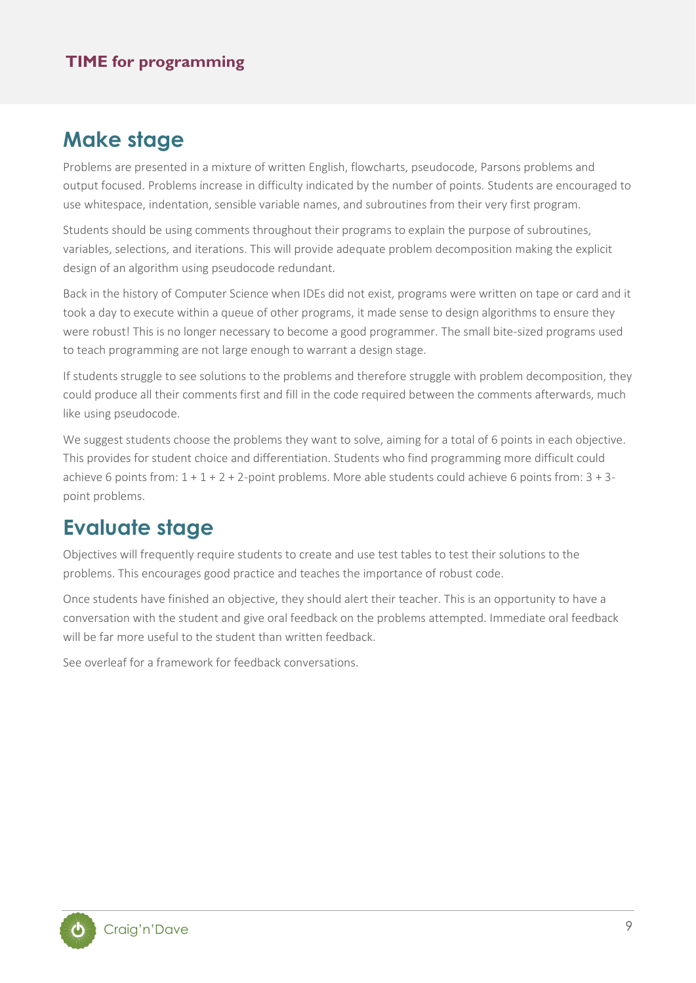### **Make stage**

Problems are presented in a mixture of written English, flowcharts, pseudocode, Parsons problems and output focused. Problems increase in difficulty indicated by the number of points. Students are encouraged to use whitespace, indentation, sensible variable names, and subroutines from their very first program.

Students should be using comments throughout their programs to explain the purpose of subroutines, variables, selections, and iterations. This will provide adequate problem decomposition making the explicit design of an algorithm using pseudocode redundant.

Back in the history of Computer Science when IDEs did not exist, programs were written on tape or card and it took a day to execute within a queue of other programs, it made sense to design algorithms to ensure they were robust! This is no longer necessary to become a good programmer. The small bite-sized programs used to teach programming are not large enough to warrant a design stage.

If students struggle to see solutions to the problems and therefore struggle with problem decomposition, they could produce all their comments first and fill in the code required between the comments afterwards, much like using pseudocode.

We suggest students choose the problems they want to solve, aiming for a total of 6 points in each objective. This provides for student choice and differentiation. Students who find programming more difficult could achieve 6 points from: 1 + 1 + 2 + 2-point problems. More able students could achieve 6 points from: 3 + 3 point problems.

## **Evaluate stage**

Objectives will frequently require students to create and use test tables to test their solutions to the problems. This encourages good practice and teaches the importance of robust code.

Once students have finished an objective, they should alert their teacher. This is an opportunity to have a conversation with the student and give oral feedback on the problems attempted. Immediate oral feedback will be far more useful to the student than written feedback.

See overleaf for a framework for feedback conversations.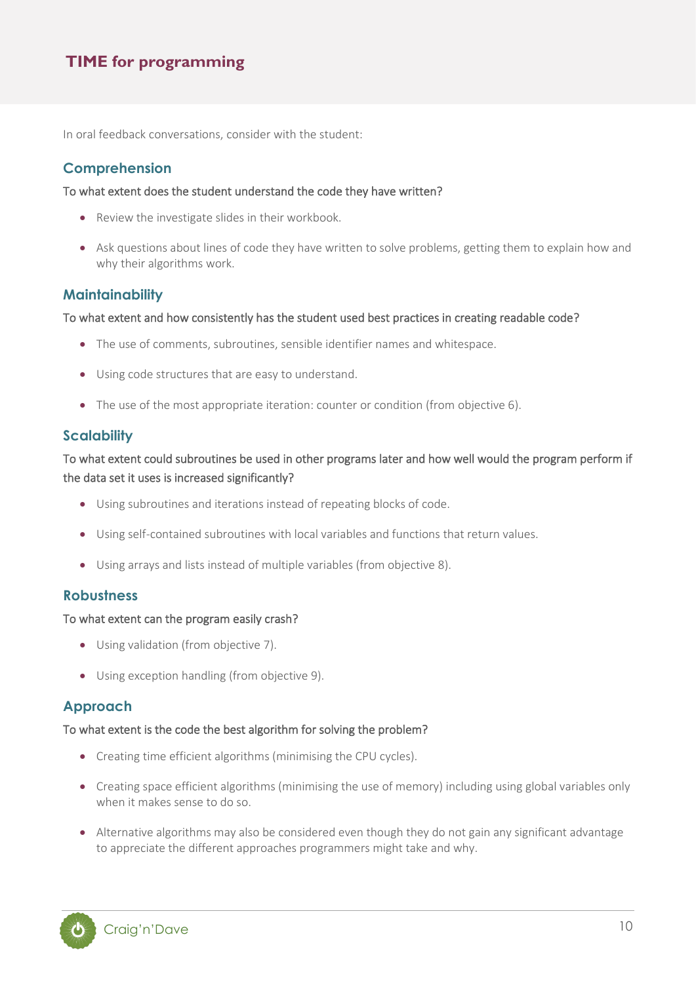In oral feedback conversations, consider with the student:

#### **Comprehension**

#### To what extent does the student understand the code they have written?

- Review the investigate slides in their workbook.
- Ask questions about lines of code they have written to solve problems, getting them to explain how and why their algorithms work.

#### **Maintainability**

#### To what extent and how consistently has the student used best practices in creating readable code?

- The use of comments, subroutines, sensible identifier names and whitespace.
- Using code structures that are easy to understand.
- The use of the most appropriate iteration: counter or condition (from objective 6).

#### **Scalability**

#### To what extent could subroutines be used in other programs later and how well would the program perform if the data set it uses is increased significantly?

- Using subroutines and iterations instead of repeating blocks of code.
- Using self-contained subroutines with local variables and functions that return values.
- Using arrays and lists instead of multiple variables (from objective 8).

#### **Robustness**

#### To what extent can the program easily crash?

- Using validation (from objective 7).
- Using exception handling (from objective 9).

#### **Approach**

#### To what extent is the code the best algorithm for solving the problem?

- Creating time efficient algorithms (minimising the CPU cycles).
- Creating space efficient algorithms (minimising the use of memory) including using global variables only when it makes sense to do so.
- Alternative algorithms may also be considered even though they do not gain any significant advantage to appreciate the different approaches programmers might take and why.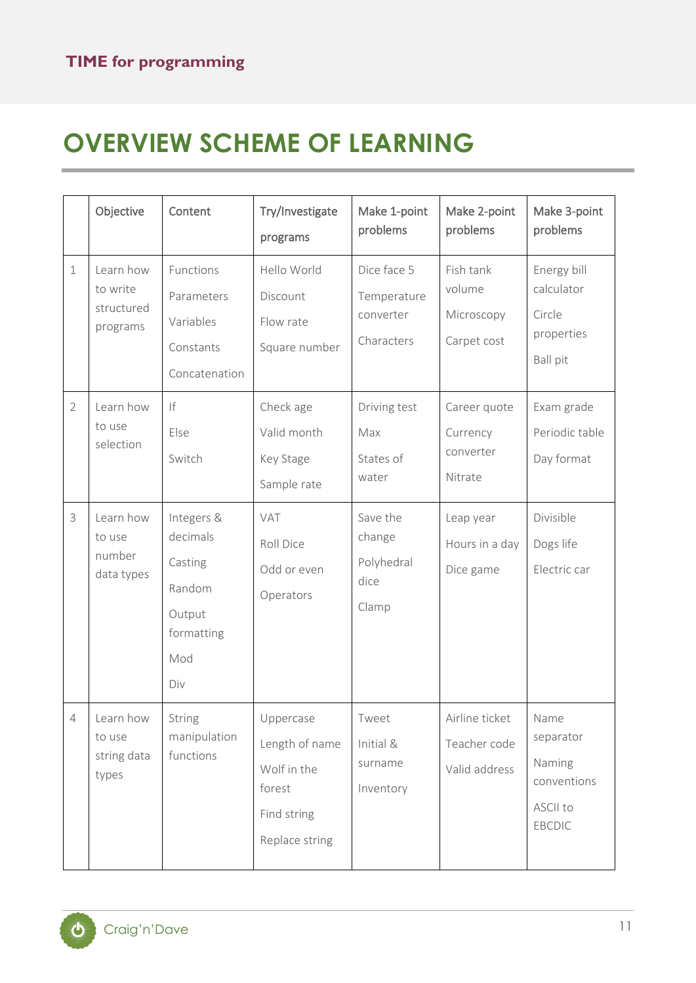# **OVERVIEW SCHEME OF LEARNING**

|                | Objective                                       | Content                                                                           | Try/Investigate<br>programs                                                           | Make 1-point<br>problems                              | Make 2-point<br>problems                         | Make 3-point<br>problems                                             |
|----------------|-------------------------------------------------|-----------------------------------------------------------------------------------|---------------------------------------------------------------------------------------|-------------------------------------------------------|--------------------------------------------------|----------------------------------------------------------------------|
| $\mathbf 1$    | Learn how<br>to write<br>structured<br>programs | Functions<br>Parameters<br>Variables<br>Constants<br>Concatenation                | Hello World<br>Discount<br>Flow rate<br>Square number                                 | Dice face 5<br>Temperature<br>converter<br>Characters | Fish tank<br>volume<br>Microscopy<br>Carpet cost | Energy bill<br>calculator<br>Circle<br>properties<br><b>Ball pit</b> |
| $\overline{2}$ | Learn how<br>to use<br>selection                | If<br>Else<br>Switch                                                              | Check age<br>Valid month<br>Key Stage<br>Sample rate                                  | Driving test<br>Max<br>States of<br>water             | Career quote<br>Currency<br>converter<br>Nitrate | Exam grade<br>Periodic table<br>Day format                           |
| 3              | Learn how<br>to use<br>number<br>data types     | Integers &<br>decimals<br>Casting<br>Random<br>Output<br>formatting<br>Mod<br>Div | VAT<br>Roll Dice<br>Odd or even<br>Operators                                          | Save the<br>change<br>Polyhedral<br>dice<br>Clamp     | Leap year<br>Hours in a day<br>Dice game         | Divisible<br>Dogs life<br>Electric car                               |
| 4              | Learn how<br>to use<br>string data<br>types     | String<br>manipulation<br>functions                                               | Uppercase<br>Length of name<br>Wolf in the<br>forest<br>Find string<br>Replace string | <b>I</b> weet<br>Initial &<br>surname<br>Inventory    | Airline ticket<br>Teacher code<br>Valid address  | Name<br>separator<br>Naming<br>conventions<br>ASCII to<br>EBCDIC     |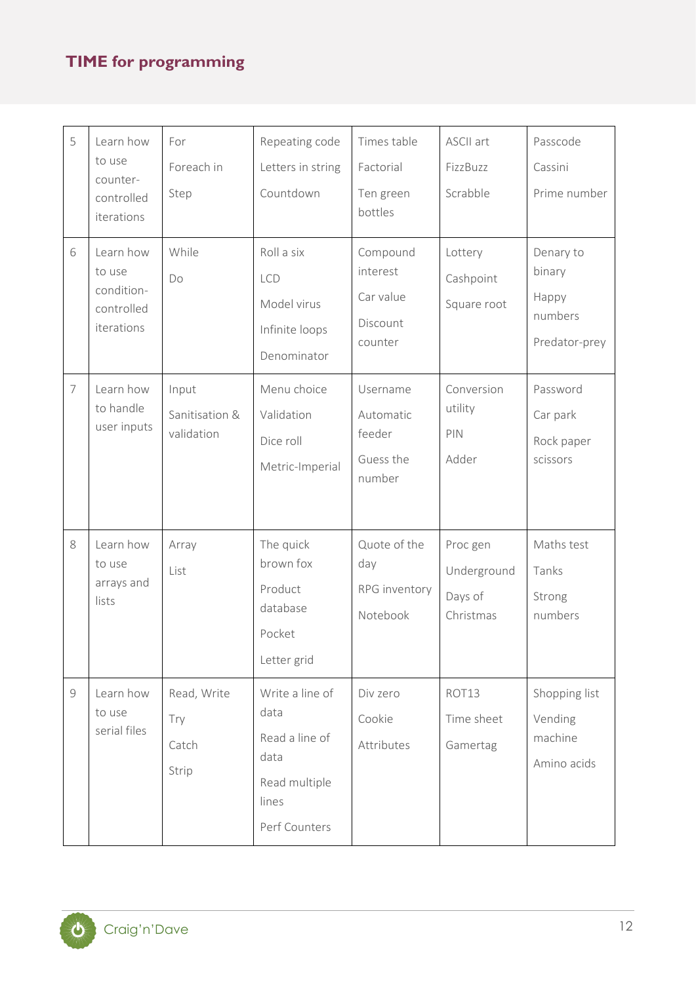| 5              | Learn how<br>to use<br>counter-<br>controlled<br>iterations   | For<br>Foreach in<br>Step             | Repeating code<br>Letters in string<br>Countdown                                             | Times table<br>Factorial<br>Ten green<br>bottles         | ASCII art<br>FizzBuzz<br>Scrabble               | Passcode<br>Cassini<br>Prime number                      |
|----------------|---------------------------------------------------------------|---------------------------------------|----------------------------------------------------------------------------------------------|----------------------------------------------------------|-------------------------------------------------|----------------------------------------------------------|
| 6              | Learn how<br>to use<br>condition-<br>controlled<br>iterations | While<br>Do                           | Roll a six<br><b>LCD</b><br>Model virus<br>Infinite loops<br>Denominator                     | Compound<br>interest<br>Car value<br>Discount<br>counter | Lottery<br>Cashpoint<br>Square root             | Denary to<br>binary<br>Happy<br>numbers<br>Predator-prey |
| $\overline{7}$ | Learn how<br>to handle<br>user inputs                         | Input<br>Sanitisation &<br>validation | Menu choice<br>Validation<br>Dice roll<br>Metric-Imperial                                    | Username<br>Automatic<br>feeder<br>Guess the<br>number   | Conversion<br>utility<br>PIN<br>Adder           | Password<br>Car park<br>Rock paper<br>scissors           |
| 8              | Learn how<br>to use<br>arrays and<br>lists                    | Array<br>List                         | The quick<br>brown fox<br>Product<br>database<br>Pocket<br>Letter grid                       | Quote of the<br>day<br>RPG inventory<br>Notebook         | Proc gen<br>Underground<br>Days of<br>Christmas | Maths test<br>Tanks<br>Strong<br>numbers                 |
| $\mathcal G$   | Learn how<br>to use<br>serial files                           | Read, Write<br>Try<br>Catch<br>Strip  | Write a line of<br>data<br>Read a line of<br>data<br>Read multiple<br>lines<br>Perf Counters | Div zero<br>Cookie<br>Attributes                         | ROT13<br>Time sheet<br>Gamertag                 | Shopping list<br>Vending<br>machine<br>Amino acids       |